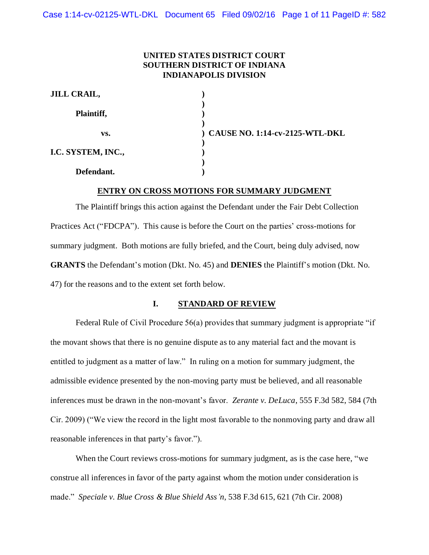# **UNITED STATES DISTRICT COURT SOUTHERN DISTRICT OF INDIANA INDIANAPOLIS DIVISION**

| <b>JILL CRAIL,</b> |                                  |
|--------------------|----------------------------------|
| Plaintiff,         |                                  |
| VS.                | ) CAUSE NO. 1:14-cv-2125-WTL-DKL |
| I.C. SYSTEM, INC., |                                  |
| Defendant.         |                                  |

# **ENTRY ON CROSS MOTIONS FOR SUMMARY JUDGMENT**

The Plaintiff brings this action against the Defendant under the Fair Debt Collection Practices Act ("FDCPA"). This cause is before the Court on the parties' cross-motions for summary judgment. Both motions are fully briefed, and the Court, being duly advised, now **GRANTS** the Defendant's motion (Dkt. No. 45) and **DENIES** the Plaintiff's motion (Dkt. No. 47) for the reasons and to the extent set forth below.

## **I. STANDARD OF REVIEW**

Federal Rule of Civil Procedure 56(a) provides that summary judgment is appropriate "if the movant shows that there is no genuine dispute as to any material fact and the movant is entitled to judgment as a matter of law." In ruling on a motion for summary judgment, the admissible evidence presented by the non-moving party must be believed, and all reasonable inferences must be drawn in the non-movant's favor. *Zerante v. DeLuca*, 555 F.3d 582, 584 (7th Cir. 2009) ("We view the record in the light most favorable to the nonmoving party and draw all reasonable inferences in that party's favor.").

When the Court reviews cross-motions for summary judgment, as is the case here, "we construe all inferences in favor of the party against whom the motion under consideration is made." *Speciale v. Blue Cross & Blue Shield Ass'n*, 538 F.3d 615, 621 (7th Cir. 2008)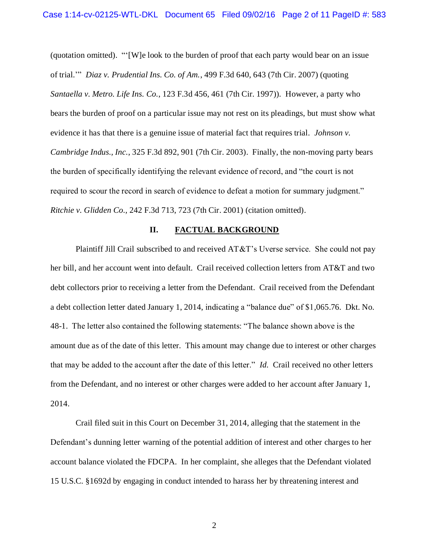(quotation omitted). "'[W]e look to the burden of proof that each party would bear on an issue of trial.'" *Diaz v. Prudential Ins. Co. of Am.*, 499 F.3d 640, 643 (7th Cir. 2007) (quoting *Santaella v. Metro. Life Ins. Co.*, 123 F.3d 456, 461 (7th Cir. 1997)). However, a party who bears the burden of proof on a particular issue may not rest on its pleadings, but must show what evidence it has that there is a genuine issue of material fact that requires trial. *Johnson v. Cambridge Indus., Inc.*, 325 F.3d 892, 901 (7th Cir. 2003). Finally, the non-moving party bears the burden of specifically identifying the relevant evidence of record, and "the court is not required to scour the record in search of evidence to defeat a motion for summary judgment." *Ritchie v. Glidden Co.,* 242 F.3d 713, 723 (7th Cir. 2001) (citation omitted).

### **II. FACTUAL BACKGROUND**

Plaintiff Jill Crail subscribed to and received AT&T's Uverse service. She could not pay her bill, and her account went into default. Crail received collection letters from AT&T and two debt collectors prior to receiving a letter from the Defendant. Crail received from the Defendant a debt collection letter dated January 1, 2014, indicating a "balance due" of \$1,065.76. Dkt. No. 48-1. The letter also contained the following statements: "The balance shown above is the amount due as of the date of this letter. This amount may change due to interest or other charges that may be added to the account after the date of this letter." *Id.* Crail received no other letters from the Defendant, and no interest or other charges were added to her account after January 1, 2014.

Crail filed suit in this Court on December 31, 2014, alleging that the statement in the Defendant's dunning letter warning of the potential addition of interest and other charges to her account balance violated the FDCPA. In her complaint, she alleges that the Defendant violated 15 U.S.C. §1692d by engaging in conduct intended to harass her by threatening interest and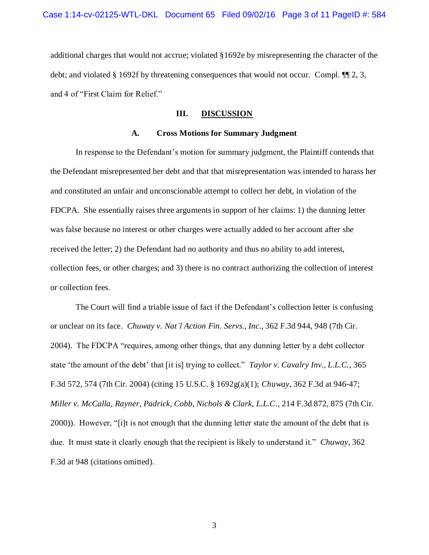additional charges that would not accrue; violated §1692e by misrepresenting the character of the debt; and violated § 1692f by threatening consequences that would not occur. Compl. ¶¶ 2, 3, and 4 of "First Claim for Relief."

# **III. DISCUSSION**

### **A. Cross Motions for Summary Judgment**

In response to the Defendant's motion for summary judgment, the Plaintiff contends that the Defendant misrepresented her debt and that that misrepresentation was intended to harass her and constituted an unfair and unconscionable attempt to collect her debt, in violation of the FDCPA. She essentially raises three arguments in support of her claims: 1) the dunning letter was false because no interest or other charges were actually added to her account after she received the letter; 2) the Defendant had no authority and thus no ability to add interest, collection fees, or other charges; and 3) there is no contract authorizing the collection of interest or collection fees.

The Court will find a triable issue of fact if the Defendant's collection letter is confusing or unclear on its face. *Chuway v. Nat'l Action Fin. Servs., Inc.*, 362 F.3d 944, 948 (7th Cir. 2004). The FDCPA "requires, among other things, that any dunning letter by a debt collector state 'the amount of the debt' that [it is] trying to collect." *Taylor v. Cavalry Inv., L.L.C.*, 365 F.3d 572, 574 (7th Cir. 2004) (citing 15 U.S.C. § 1692g(a)(1); *Chuway*, 362 F.3d at 946-47; *Miller v. McCalla, Rayner, Padrick, Cobb, Nichols & Clark, L.L.C.*, 214 F.3d 872, 875 (7th Cir. 2000)). However, "[i]t is not enough that the dunning letter state the amount of the debt that is due. It must state it clearly enough that the recipient is likely to understand it." *Chuway*, 362 F.3d at 948 (citations omitted).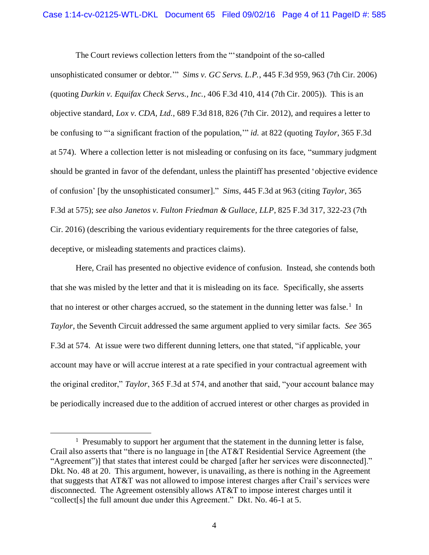The Court reviews collection letters from the "'standpoint of the so-called unsophisticated consumer or debtor.'" *Sims v. GC Servs. L.P.*, 445 F.3d 959, 963 (7th Cir. 2006) (quoting *Durkin v. Equifax Check Servs., Inc.*, 406 F.3d 410, 414 (7th Cir. 2005)). This is an objective standard, *Lox v. CDA, Ltd.*, 689 F.3d 818, 826 (7th Cir. 2012), and requires a letter to be confusing to "'a significant fraction of the population,'" *id.* at 822 (quoting *Taylor*, 365 F.3d at 574). Where a collection letter is not misleading or confusing on its face, "summary judgment should be granted in favor of the defendant, unless the plaintiff has presented 'objective evidence of confusion' [by the unsophisticated consumer]." *Sims*, 445 F.3d at 963 (citing *Taylor*, 365 F.3d at 575); *see also Janetos v. Fulton Friedman & Gullace, LLP*, 825 F.3d 317, 322-23 (7th Cir. 2016) (describing the various evidentiary requirements for the three categories of false, deceptive, or misleading statements and practices claims).

Here, Crail has presented no objective evidence of confusion. Instead, she contends both that she was misled by the letter and that it is misleading on its face. Specifically, she asserts that no interest or other charges accrued, so the statement in the dunning letter was false.<sup>1</sup> In *Taylor*, the Seventh Circuit addressed the same argument applied to very similar facts. *See* 365 F.3d at 574. At issue were two different dunning letters, one that stated, "if applicable, your account may have or will accrue interest at a rate specified in your contractual agreement with the original creditor," *Taylor*, 365 F.3d at 574, and another that said, "your account balance may be periodically increased due to the addition of accrued interest or other charges as provided in

 $\overline{a}$ 

<sup>&</sup>lt;sup>1</sup> Presumably to support her argument that the statement in the dunning letter is false, Crail also asserts that "there is no language in [the AT&T Residential Service Agreement (the "Agreement")] that states that interest could be charged [after her services were disconnected]." Dkt. No. 48 at 20. This argument, however, is unavailing, as there is nothing in the Agreement that suggests that AT&T was not allowed to impose interest charges after Crail's services were disconnected. The Agreement ostensibly allows AT&T to impose interest charges until it "collect[s] the full amount due under this Agreement." Dkt. No. 46-1 at 5.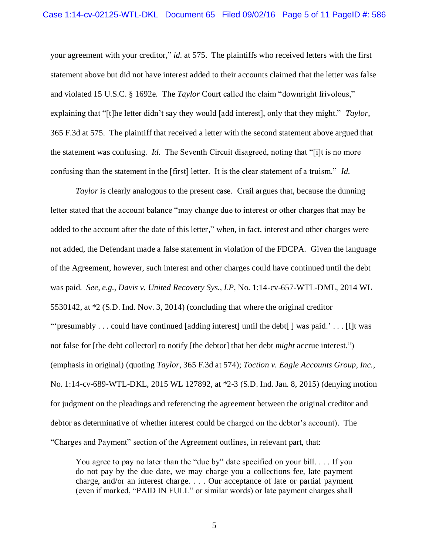your agreement with your creditor," *id.* at 575. The plaintiffs who received letters with the first statement above but did not have interest added to their accounts claimed that the letter was false and violated 15 U.S.C. § 1692e. The *Taylor* Court called the claim "downright frivolous," explaining that "[t]he letter didn't say they would [add interest], only that they might." *Taylor*, 365 F.3d at 575. The plaintiff that received a letter with the second statement above argued that the statement was confusing. *Id.* The Seventh Circuit disagreed, noting that "[i]t is no more confusing than the statement in the [first] letter. It is the clear statement of a truism." *Id.*

*Taylor* is clearly analogous to the present case. Crail argues that, because the dunning letter stated that the account balance "may change due to interest or other charges that may be added to the account after the date of this letter," when, in fact, interest and other charges were not added, the Defendant made a false statement in violation of the FDCPA. Given the language of the Agreement, however, such interest and other charges could have continued until the debt was paid. *See, e.g., Davis v. United Recovery Sys., LP*, No. 1:14-cv-657-WTL-DML, 2014 WL 5530142, at \*2 (S.D. Ind. Nov. 3, 2014) (concluding that where the original creditor ""'presumably . . . could have continued [adding interest] until the debt  $\lceil \cdot \rceil$  was paid." . . . [I]t was not false for [the debt collector] to notify [the debtor] that her debt *might* accrue interest.") (emphasis in original) (quoting *Taylor*, 365 F.3d at 574); *Toction v. Eagle Accounts Group, Inc.*, No. 1:14-cv-689-WTL-DKL, 2015 WL 127892, at \*2-3 (S.D. Ind. Jan. 8, 2015) (denying motion for judgment on the pleadings and referencing the agreement between the original creditor and debtor as determinative of whether interest could be charged on the debtor's account). The "Charges and Payment" section of the Agreement outlines, in relevant part, that:

You agree to pay no later than the "due by" date specified on your bill. . . . If you do not pay by the due date, we may charge you a collections fee, late payment charge, and/or an interest charge. . . . Our acceptance of late or partial payment (even if marked, "PAID IN FULL" or similar words) or late payment charges shall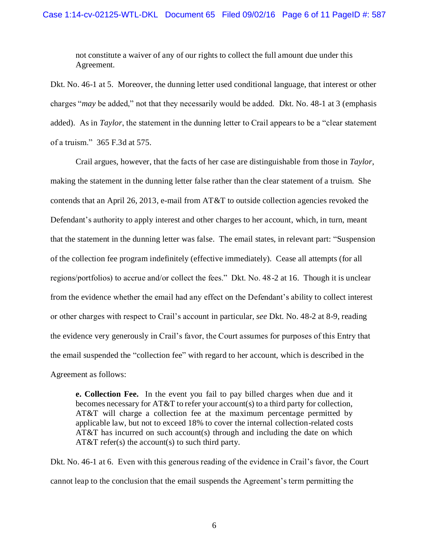not constitute a waiver of any of our rights to collect the full amount due under this Agreement.

Dkt. No. 46-1 at 5. Moreover, the dunning letter used conditional language, that interest or other charges "*may* be added," not that they necessarily would be added. Dkt. No. 48-1 at 3 (emphasis added). As in *Taylor*, the statement in the dunning letter to Crail appears to be a "clear statement of a truism." 365 F.3d at 575.

Crail argues, however, that the facts of her case are distinguishable from those in *Taylor*, making the statement in the dunning letter false rather than the clear statement of a truism. She contends that an April 26, 2013, e-mail from AT&T to outside collection agencies revoked the Defendant's authority to apply interest and other charges to her account, which, in turn, meant that the statement in the dunning letter was false. The email states, in relevant part: "Suspension of the collection fee program indefinitely (effective immediately). Cease all attempts (for all regions/portfolios) to accrue and/or collect the fees." Dkt. No. 48-2 at 16. Though it is unclear from the evidence whether the email had any effect on the Defendant's ability to collect interest or other charges with respect to Crail's account in particular, *see* Dkt. No. 48-2 at 8-9, reading the evidence very generously in Crail's favor, the Court assumes for purposes of this Entry that the email suspended the "collection fee" with regard to her account, which is described in the Agreement as follows:

**e. Collection Fee.** In the event you fail to pay billed charges when due and it becomes necessary for AT&T to refer your account(s) to a third party for collection, AT&T will charge a collection fee at the maximum percentage permitted by applicable law, but not to exceed 18% to cover the internal collection-related costs AT&T has incurred on such account(s) through and including the date on which  $AT&T \text{ refer}(s)$  the account(s) to such third party.

Dkt. No. 46-1 at 6. Even with this generous reading of the evidence in Crail's favor, the Court cannot leap to the conclusion that the email suspends the Agreement's term permitting the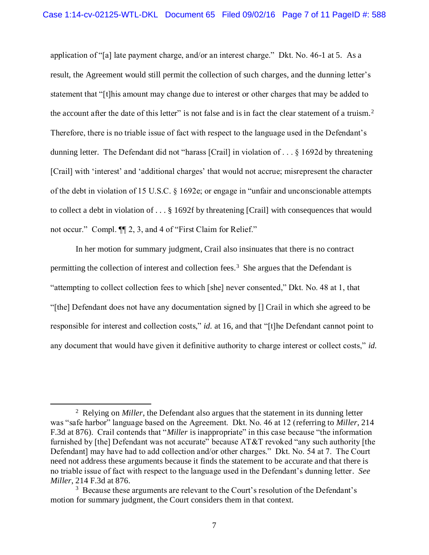application of "[a] late payment charge, and/or an interest charge." Dkt. No. 46-1 at 5. As a result, the Agreement would still permit the collection of such charges, and the dunning letter's statement that "[t]his amount may change due to interest or other charges that may be added to the account after the date of this letter" is not false and is in fact the clear statement of a truism.<sup>2</sup> Therefore, there is no triable issue of fact with respect to the language used in the Defendant's dunning letter. The Defendant did not "harass [Crail] in violation of . . . § 1692d by threatening [Crail] with 'interest' and 'additional charges' that would not accrue; misrepresent the character of the debt in violation of 15 U.S.C. § 1692e; or engage in "unfair and unconscionable attempts to collect a debt in violation of . . . § 1692f by threatening [Crail] with consequences that would not occur." Compl. ¶¶ 2, 3, and 4 of "First Claim for Relief."

In her motion for summary judgment, Crail also insinuates that there is no contract permitting the collection of interest and collection fees.<sup>3</sup> She argues that the Defendant is "attempting to collect collection fees to which [she] never consented," Dkt. No. 48 at 1, that "[the] Defendant does not have any documentation signed by [] Crail in which she agreed to be responsible for interest and collection costs," *id.* at 16, and that "[t]he Defendant cannot point to any document that would have given it definitive authority to charge interest or collect costs," *id.*

 $\overline{\phantom{a}}$ 

<sup>2</sup> Relying on *Miller*, the Defendant also argues that the statement in its dunning letter was "safe harbor" language based on the Agreement. Dkt. No. 46 at 12 (referring to *Miller*, 214 F.3d at 876). Crail contends that "*Miller* is inappropriate" in this case because "the information furnished by [the] Defendant was not accurate" because AT&T revoked "any such authority [the Defendant] may have had to add collection and/or other charges." Dkt. No. 54 at 7. The Court need not address these arguments because it finds the statement to be accurate and that there is no triable issue of fact with respect to the language used in the Defendant's dunning letter. *See Miller*, 214 F.3d at 876.

<sup>&</sup>lt;sup>3</sup> Because these arguments are relevant to the Court's resolution of the Defendant's motion for summary judgment, the Court considers them in that context.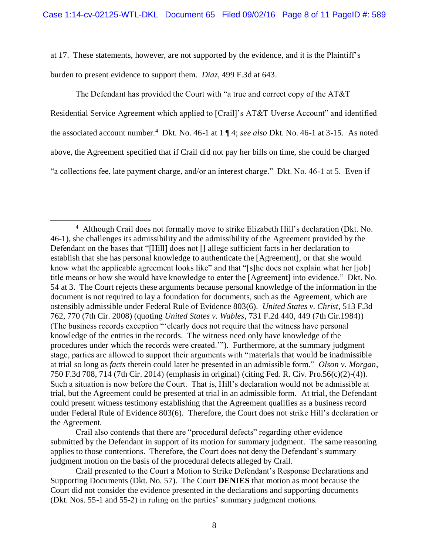at 17. These statements, however, are not supported by the evidence, and it is the Plaintiff's

burden to present evidence to support them. *Diaz*, 499 F.3d at 643.

 $\overline{a}$ 

The Defendant has provided the Court with "a true and correct copy of the AT&T Residential Service Agreement which applied to [Crail]'s AT&T Uverse Account" and identified the associated account number.<sup>4</sup> Dkt. No. 46-1 at 1 ¶ 4; *see also* Dkt. No. 46-1 at 3-15. As noted above, the Agreement specified that if Crail did not pay her bills on time, she could be charged "a collections fee, late payment charge, and/or an interest charge." Dkt. No. 46-1 at 5. Even if

<sup>&</sup>lt;sup>4</sup> Although Crail does not formally move to strike Elizabeth Hill's declaration (Dkt. No. 46-1), she challenges its admissibility and the admissibility of the Agreement provided by the Defendant on the bases that "[Hill] does not [] allege sufficient facts in her declaration to establish that she has personal knowledge to authenticate the [Agreement], or that she would know what the applicable agreement looks like" and that "[s]he does not explain what her [job] title means or how she would have knowledge to enter the [Agreement] into evidence." Dkt. No. 54 at 3. The Court rejects these arguments because personal knowledge of the information in the document is not required to lay a foundation for documents, such as the Agreement, which are ostensibly admissible under Federal Rule of Evidence 803(6). *United States v. Christ*, 513 F.3d 762, 770 (7th Cir. 2008) (quoting *United States v. Wables*, 731 F.2d 440, 449 (7th Cir.1984)) (The business records exception "'clearly does not require that the witness have personal knowledge of the entries in the records. The witness need only have knowledge of the procedures under which the records were created.'"). Furthermore, at the summary judgment stage, parties are allowed to support their arguments with "materials that would be inadmissible at trial so long as *facts* therein could later be presented in an admissible form." *Olson v. Morgan*, 750 F.3d 708, 714 (7th Cir. 2014) (emphasis in original) (citing Fed. R. Civ. Pro.56(c)(2)-(4)). Such a situation is now before the Court. That is, Hill's declaration would not be admissible at trial, but the Agreement could be presented at trial in an admissible form. At trial, the Defendant could present witness testimony establishing that the Agreement qualifies as a business record under Federal Rule of Evidence 803(6). Therefore, the Court does not strike Hill's declaration or the Agreement.

Crail also contends that there are "procedural defects" regarding other evidence submitted by the Defendant in support of its motion for summary judgment. The same reasoning applies to those contentions. Therefore, the Court does not deny the Defendant's summary judgment motion on the basis of the procedural defects alleged by Crail.

Crail presented to the Court a Motion to Strike Defendant's Response Declarations and Supporting Documents (Dkt. No. 57). The Court **DENIES** that motion as moot because the Court did not consider the evidence presented in the declarations and supporting documents (Dkt. Nos. 55-1 and 55-2) in ruling on the parties' summary judgment motions.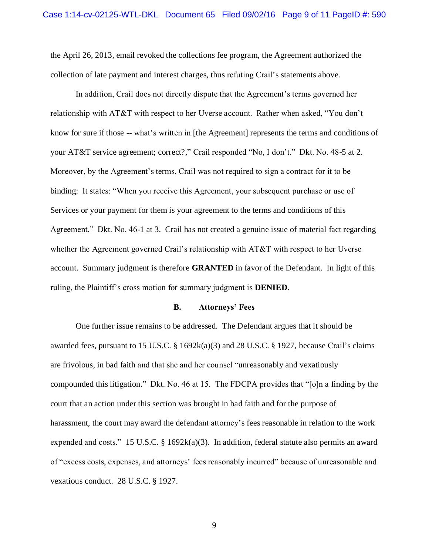the April 26, 2013, email revoked the collections fee program, the Agreement authorized the collection of late payment and interest charges, thus refuting Crail's statements above.

In addition, Crail does not directly dispute that the Agreement's terms governed her relationship with AT&T with respect to her Uverse account. Rather when asked, "You don't know for sure if those -- what's written in [the Agreement] represents the terms and conditions of your AT&T service agreement; correct?," Crail responded "No, I don't." Dkt. No. 48-5 at 2. Moreover, by the Agreement's terms, Crail was not required to sign a contract for it to be binding: It states: "When you receive this Agreement, your subsequent purchase or use of Services or your payment for them is your agreement to the terms and conditions of this Agreement." Dkt. No. 46-1 at 3. Crail has not created a genuine issue of material fact regarding whether the Agreement governed Crail's relationship with AT&T with respect to her Uverse account. Summary judgment is therefore **GRANTED** in favor of the Defendant. In light of this ruling, the Plaintiff's cross motion for summary judgment is **DENIED**.

### **B. Attorneys' Fees**

One further issue remains to be addressed. The Defendant argues that it should be awarded fees, pursuant to 15 U.S.C.  $\S$  1692k(a)(3) and 28 U.S.C.  $\S$  1927, because Crail's claims are frivolous, in bad faith and that she and her counsel "unreasonably and vexatiously compounded this litigation." Dkt. No. 46 at 15. The FDCPA provides that "[o]n a finding by the court that an action under this section was brought in bad faith and for the purpose of harassment, the court may award the defendant attorney's fees reasonable in relation to the work expended and costs." 15 U.S.C.  $\S$  1692k(a)(3). In addition, federal statute also permits an award of "excess costs, expenses, and attorneys' fees reasonably incurred" because of unreasonable and vexatious conduct. 28 U.S.C. § 1927.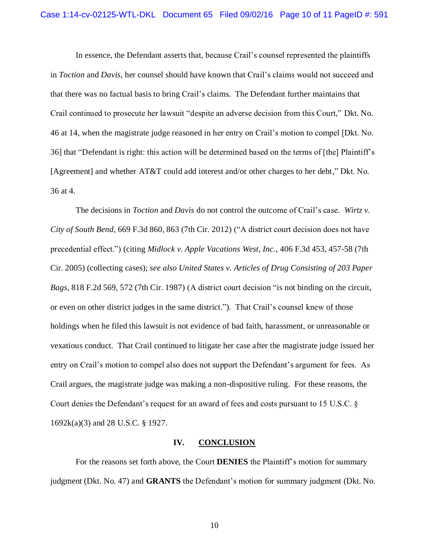In essence, the Defendant asserts that, because Crail's counsel represented the plaintiffs in *Toction* and *Davis*, her counsel should have known that Crail's claims would not succeed and that there was no factual basis to bring Crail's claims. The Defendant further maintains that Crail continued to prosecute her lawsuit "despite an adverse decision from this Court," Dkt. No. 46 at 14, when the magistrate judge reasoned in her entry on Crail's motion to compel [Dkt. No. 36] that "Defendant is right: this action will be determined based on the terms of [the] Plaintiff's [Agreement] and whether AT&T could add interest and/or other charges to her debt," Dkt. No. 36 at 4.

The decisions in *Toction* and *Davis* do not control the outcome of Crail's case. *Wirtz v. City of South Bend*, 669 F.3d 860, 863 (7th Cir. 2012) ("A district court decision does not have precedential effect.") (citing *Midlock v. Apple Vacations West, Inc.*, 406 F.3d 453, 457-58 (7th Cir. 2005) (collecting cases); *see also United States v. Articles of Drug Consisting of 203 Paper Bags*, 818 F.2d 569, 572 (7th Cir. 1987) (A district court decision "is not binding on the circuit, or even on other district judges in the same district."). That Crail's counsel knew of those holdings when he filed this lawsuit is not evidence of bad faith, harassment, or unreasonable or vexatious conduct. That Crail continued to litigate her case after the magistrate judge issued her entry on Crail's motion to compel also does not support the Defendant's argument for fees. As Crail argues, the magistrate judge was making a non-dispositive ruling. For these reasons, the Court denies the Defendant's request for an award of fees and costs pursuant to 15 U.S.C. § 1692k(a)(3) and 28 U.S.C. § 1927.

## **IV. CONCLUSION**

For the reasons set forth above, the Court **DENIES** the Plaintiff's motion for summary judgment (Dkt. No. 47) and **GRANTS** the Defendant's motion for summary judgment (Dkt. No.